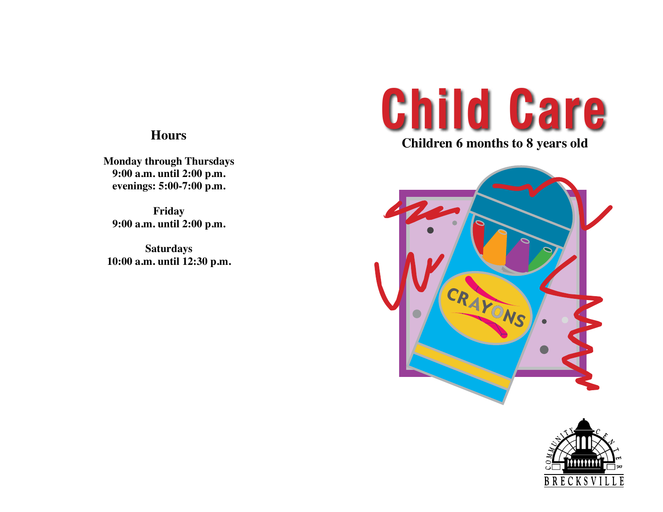**Monday through Thursdays 9:00 a.m. until 2:00 p.m. evenings: 5:00-7:00 p.m.**

**Friday 9:00 a.m. until 2:00 p.m.**

**Saturdays 10:00 a.m. until 12:30 p.m.**

## **Child Care**

**Children 6 months to 8 years old**